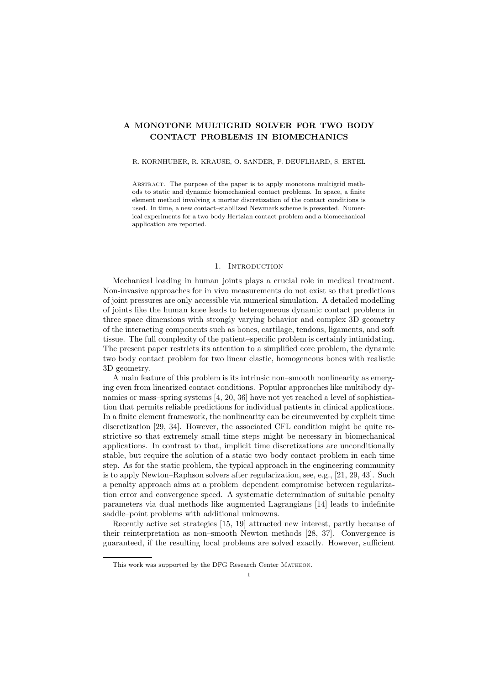# A MONOTONE MULTIGRID SOLVER FOR TWO BODY CONTACT PROBLEMS IN BIOMECHANICS

#### R. KORNHUBER, R. KRAUSE, O. SANDER, P. DEUFLHARD, S. ERTEL

Abstract. The purpose of the paper is to apply monotone multigrid methods to static and dynamic biomechanical contact problems. In space, a finite element method involving a mortar discretization of the contact conditions is used. In time, a new contact–stabilized Newmark scheme is presented. Numerical experiments for a two body Hertzian contact problem and a biomechanical application are reported.

## 1. INTRODUCTION

Mechanical loading in human joints plays a crucial role in medical treatment. Non-invasive approaches for in vivo measurements do not exist so that predictions of joint pressures are only accessible via numerical simulation. A detailed modelling of joints like the human knee leads to heterogeneous dynamic contact problems in three space dimensions with strongly varying behavior and complex 3D geometry of the interacting components such as bones, cartilage, tendons, ligaments, and soft tissue. The full complexity of the patient–specific problem is certainly intimidating. The present paper restricts its attention to a simplified core problem, the dynamic two body contact problem for two linear elastic, homogeneous bones with realistic 3D geometry.

A main feature of this problem is its intrinsic non–smooth nonlinearity as emerging even from linearized contact conditions. Popular approaches like multibody dynamics or mass–spring systems [4, 20, 36] have not yet reached a level of sophistication that permits reliable predictions for individual patients in clinical applications. In a finite element framework, the nonlinearity can be circumvented by explicit time discretization [29, 34]. However, the associated CFL condition might be quite restrictive so that extremely small time steps might be necessary in biomechanical applications. In contrast to that, implicit time discretizations are unconditionally stable, but require the solution of a static two body contact problem in each time step. As for the static problem, the typical approach in the engineering community is to apply Newton–Raphson solvers after regularization, see, e.g., [21, 29, 43]. Such a penalty approach aims at a problem–dependent compromise between regularization error and convergence speed. A systematic determination of suitable penalty parameters via dual methods like augmented Lagrangians [14] leads to indefinite saddle–point problems with additional unknowns.

Recently active set strategies [15, 19] attracted new interest, partly because of their reinterpretation as non–smooth Newton methods [28, 37]. Convergence is guaranteed, if the resulting local problems are solved exactly. However, sufficient

This work was supported by the DFG Research Center Matheon.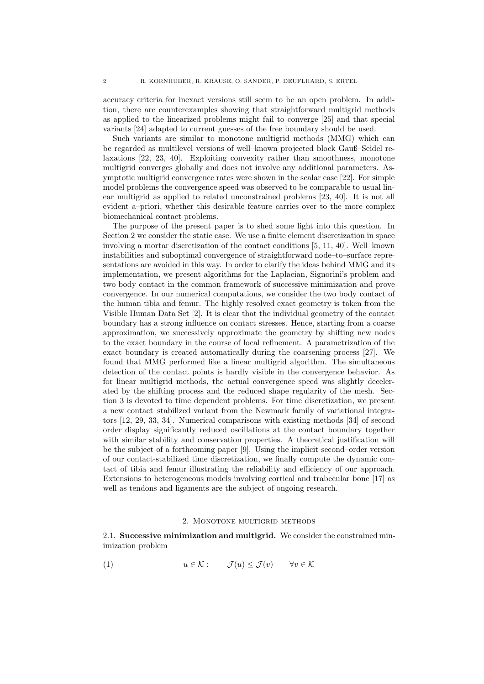accuracy criteria for inexact versions still seem to be an open problem. In addition, there are counterexamples showing that straightforward multigrid methods as applied to the linearized problems might fail to converge [25] and that special variants [24] adapted to current guesses of the free boundary should be used.

Such variants are similar to monotone multigrid methods (MMG) which can be regarded as multilevel versions of well–known projected block Gauß–Seidel relaxations [22, 23, 40]. Exploiting convexity rather than smoothness, monotone multigrid converges globally and does not involve any additional parameters. Asymptotic multigrid convergence rates were shown in the scalar case [22]. For simple model problems the convergence speed was observed to be comparable to usual linear multigrid as applied to related unconstrained problems [23, 40]. It is not all evident a–priori, whether this desirable feature carries over to the more complex biomechanical contact problems.

The purpose of the present paper is to shed some light into this question. In Section 2 we consider the static case. We use a finite element discretization in space involving a mortar discretization of the contact conditions [5, 11, 40]. Well–known instabilities and suboptimal convergence of straightforward node–to–surface representations are avoided in this way. In order to clarify the ideas behind MMG and its implementation, we present algorithms for the Laplacian, Signorini's problem and two body contact in the common framework of successive minimization and prove convergence. In our numerical computations, we consider the two body contact of the human tibia and femur. The highly resolved exact geometry is taken from the Visible Human Data Set [2]. It is clear that the individual geometry of the contact boundary has a strong influence on contact stresses. Hence, starting from a coarse approximation, we successively approximate the geometry by shifting new nodes to the exact boundary in the course of local refinement. A parametrization of the exact boundary is created automatically during the coarsening process [27]. We found that MMG performed like a linear multigrid algorithm. The simultaneous detection of the contact points is hardly visible in the convergence behavior. As for linear multigrid methods, the actual convergence speed was slightly decelerated by the shifting process and the reduced shape regularity of the mesh. Section 3 is devoted to time dependent problems. For time discretization, we present a new contact–stabilized variant from the Newmark family of variational integrators [12, 29, 33, 34]. Numerical comparisons with existing methods [34] of second order display significantly reduced oscillations at the contact boundary together with similar stability and conservation properties. A theoretical justification will be the subject of a forthcoming paper [9]. Using the implicit second–order version of our contact-stabilized time discretization, we finally compute the dynamic contact of tibia and femur illustrating the reliability and efficiency of our approach. Extensions to heterogeneous models involving cortical and trabecular bone [17] as well as tendons and ligaments are the subject of ongoing research.

## 2. Monotone multigrid methods

2.1. Successive minimization and multigrid. We consider the constrained minimization problem

$$
(1) \t u \in \mathcal{K}: \t \mathcal{J}(u) \leq \mathcal{J}(v) \t \forall v \in \mathcal{K}
$$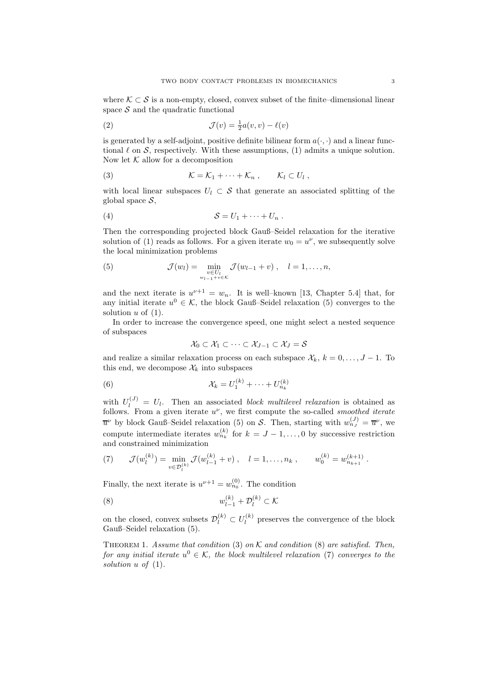where  $\mathcal{K} \subset \mathcal{S}$  is a non-empty, closed, convex subset of the finite–dimensional linear space  $S$  and the quadratic functional

(2) 
$$
\mathcal{J}(v) = \frac{1}{2}a(v, v) - \ell(v)
$$

is generated by a self-adjoint, positive definite bilinear form  $a(\cdot, \cdot)$  and a linear functional  $\ell$  on S, respectively. With these assumptions, (1) admits a unique solution. Now let  $K$  allow for a decomposition

(3) 
$$
\mathcal{K} = \mathcal{K}_1 + \cdots + \mathcal{K}_n, \qquad \mathcal{K}_l \subset U_l,
$$

with local linear subspaces  $U_l \subset S$  that generate an associated splitting of the global space  $S$ ,

$$
(4) \t\t S = U_1 + \cdots + U_n.
$$

Then the corresponding projected block Gauß–Seidel relaxation for the iterative solution of (1) reads as follows. For a given iterate  $w_0 = u^{\nu}$ , we subsequently solve the local minimization problems

(5) 
$$
\mathcal{J}(w_l) = \min_{\substack{v \in U_l \\ w_{l-1} + v \in \mathcal{K}}} \mathcal{J}(w_{l-1} + v), \quad l = 1, \ldots, n,
$$

and the next iterate is  $u^{\nu+1} = w_n$ . It is well-known [13, Chapter 5.4] that, for any initial iterate  $u^0 \in \mathcal{K}$ , the block Gauß–Seidel relaxation (5) converges to the solution  $u$  of  $(1)$ .

In order to increase the convergence speed, one might select a nested sequence of subspaces

$$
\mathcal{X}_0 \subset \mathcal{X}_1 \subset \cdots \subset \mathcal{X}_{J-1} \subset \mathcal{X}_J = \mathcal{S}
$$

and realize a similar relaxation process on each subspace  $\mathcal{X}_k$ ,  $k = 0, \ldots, J - 1$ . To this end, we decompose  $\mathcal{X}_k$  into subspaces

(6) 
$$
\mathcal{X}_k = U_1^{(k)} + \cdots + U_{n_k}^{(k)}
$$

with  $U_l^{(J)} = U_l$ . Then an associated block multilevel relaxation is obtained as follows. From a given iterate  $u^{\nu}$ , we first compute the so-called *smoothed iterate*  $\overline{u}^{\nu}$  by block Gauß–Seidel relaxation (5) on S. Then, starting with  $w_{nj}^{(J)} = \overline{u}^{\nu}$ , we compute intermediate iterates  $w_{n_k}^{(k)}$  for  $k = J - 1, \ldots, 0$  by successive restriction and constrained minimization

(7) 
$$
\mathcal{J}(w_l^{(k)}) = \min_{v \in \mathcal{D}_l^{(k)}} \mathcal{J}(w_{l-1}^{(k)} + v) , \quad l = 1, \dots, n_k , \qquad w_0^{(k)} = w_{n_{k+1}}^{(k+1)} .
$$

Finally, the next iterate is  $u^{\nu+1} = w_{n_0}^{(0)}$ . The condition

$$
(8) \t\t\t w_{l-1}^{(k)} + \mathcal{D}_l^{(k)} \subset \mathcal{K}
$$

on the closed, convex subsets  $\mathcal{D}_l^{(k)} \subset U_l^{(k)}$  $\ell_l^{(k)}$  preserves the convergence of the block Gauß–Seidel relaxation (5).

THEOREM 1. Assume that condition  $(3)$  on K and condition  $(8)$  are satisfied. Then, for any initial iterate  $u^0 \in \mathcal{K}$ , the block multilevel relaxation (7) converges to the solution  $u$  of  $(1)$ .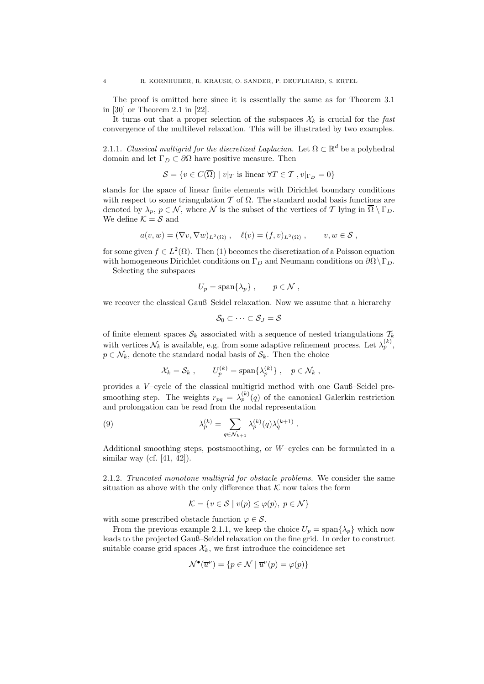The proof is omitted here since it is essentially the same as for Theorem 3.1 in [30] or Theorem 2.1 in [22].

It turns out that a proper selection of the subspaces  $\mathcal{X}_k$  is crucial for the fast convergence of the multilevel relaxation. This will be illustrated by two examples.

2.1.1. Classical multigrid for the discretized Laplacian. Let  $\Omega \subset \mathbb{R}^d$  be a polyhedral domain and let  $\Gamma_D \subset \partial\Omega$  have positive measure. Then

$$
\mathcal{S} = \{ v \in C(\Omega) \mid v|_T \text{ is linear } \forall T \in \mathcal{T}, v|_{\Gamma_D} = 0 \}
$$

stands for the space of linear finite elements with Dirichlet boundary conditions with respect to some triangulation  $T$  of  $\Omega$ . The standard nodal basis functions are denoted by  $\lambda_p, p \in \mathcal{N}$ , where  $\mathcal{N}$  is the subset of the vertices of T lying in  $\overline{\Omega} \setminus \Gamma_D$ . We define  $K = S$  and

$$
a(v, w) = (\nabla v, \nabla w)_{L^2(\Omega)}, \quad \ell(v) = (f, v)_{L^2(\Omega)}, \qquad v, w \in \mathcal{S},
$$

for some given  $f \in L^2(\Omega)$ . Then (1) becomes the discretization of a Poisson equation with homogeneous Dirichlet conditions on  $\Gamma_D$  and Neumann conditions on  $\partial\Omega\setminus\Gamma_D$ .

Selecting the subspaces

$$
U_p = \text{span}\{\lambda_p\} , \qquad p \in \mathcal{N} ,
$$

we recover the classical Gauß–Seidel relaxation. Now we assume that a hierarchy

$$
\mathcal{S}_0\subset\cdots\subset\mathcal{S}_J=\mathcal{S}
$$

of finite element spaces  $S_k$  associated with a sequence of nested triangulations  $\mathcal{T}_k$ with vertices  $\mathcal{N}_k$  is available, e.g. from some adaptive refinement process. Let  $\lambda_p^{(k)}$ ,  $p \in \mathcal{N}_k$ , denote the standard nodal basis of  $\mathcal{S}_k$ . Then the choice

$$
\mathcal{X}_k = \mathcal{S}_k \ , \qquad U_p^{(k)} = \text{span}\{\lambda_p^{(k)}\} \ , \quad p \in \mathcal{N}_k \ ,
$$

provides a V –cycle of the classical multigrid method with one Gauß–Seidel presmoothing step. The weights  $r_{pq} = \lambda_p^{(k)}(q)$  of the canonical Galerkin restriction and prolongation can be read from the nodal representation

(9) 
$$
\lambda_p^{(k)} = \sum_{q \in \mathcal{N}_{k+1}} \lambda_p^{(k)}(q) \lambda_q^{(k+1)}.
$$

Additional smoothing steps, postsmoothing, or W–cycles can be formulated in a similar way (cf.  $[41, 42]$ ).

2.1.2. Truncated monotone multigrid for obstacle problems. We consider the same situation as above with the only difference that  $K$  now takes the form

$$
\mathcal{K} = \{ v \in \mathcal{S} \mid v(p) \le \varphi(p), \ p \in \mathcal{N} \}
$$

with some prescribed obstacle function  $\varphi \in \mathcal{S}$ .

From the previous example 2.1.1, we keep the choice  $U_p = \text{span}\{\lambda_p\}$  which now leads to the projected Gauß–Seidel relaxation on the fine grid. In order to construct suitable coarse grid spaces  $\mathcal{X}_k$ , we first introduce the coincidence set

$$
\mathcal{N}^{\bullet}(\overline{u}^{\nu}) = \{ p \in \mathcal{N} \mid \overline{u}^{\nu}(p) = \varphi(p) \}
$$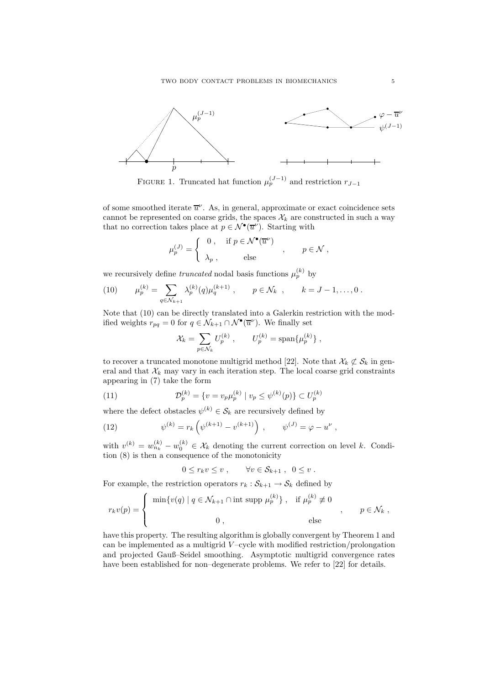

FIGURE 1. Truncated hat function  $\mu_p^{(J-1)}$  and restriction  $r_{J-1}$ 

of some smoothed iterate  $\overline{u}^{\nu}$ . As, in general, approximate or exact coincidence sets cannot be represented on coarse grids, the spaces  $\mathcal{X}_k$  are constructed in such a way that no correction takes place at  $p \in \mathcal{N}^{\bullet}(\overline{u}^{\nu})$ . Starting with

$$
\mu_p^{(J)} = \left\{ \begin{array}{ll} 0\ , & \text{if } p \in \mathcal{N}^\bullet(\overline{u}^\nu) \\[1ex] \lambda_p\ , & \text{else} \end{array} \right. \ , \qquad p \in \mathcal{N} \ ,
$$

we recursively define *truncated* nodal basis functions  $\mu_p^{(k)}$  by

(10) 
$$
\mu_p^{(k)} = \sum_{q \in \mathcal{N}_{k+1}} \lambda_p^{(k)}(q) \mu_q^{(k+1)}, \qquad p \in \mathcal{N}_k, \qquad k = J-1, \dots, 0.
$$

Note that (10) can be directly translated into a Galerkin restriction with the modified weights  $r_{pq} = 0$  for  $q \in \mathcal{N}_{k+1} \cap \mathcal{N}^{\bullet}(\overline{u}^{\nu})$ . We finally set

$$
\mathcal{X}_k = \sum_{p \in \mathcal{N}_k} U_p^{(k)} , \qquad U_p^{(k)} = \text{span}\{ \mu_p^{(k)} \} ,
$$

to recover a truncated monotone multigrid method [22]. Note that  $\mathcal{X}_k \not\subset \mathcal{S}_k$  in general and that  $\mathcal{X}_k$  may vary in each iteration step. The local coarse grid constraints appearing in (7) take the form

(11) 
$$
\mathcal{D}_p^{(k)} = \{ v = v_p \mu_p^{(k)} \mid v_p \le \psi^{(k)}(p) \} \subset U_p^{(k)}
$$

where the defect obstacles  $\psi^{(k)} \in \mathcal{S}_k$  are recursively defined by

(12) 
$$
\psi^{(k)} = r_k \left( \psi^{(k+1)} - v^{(k+1)} \right) , \qquad \psi^{(J)} = \varphi - u^{\nu} ,
$$

with  $v^{(k)} = w_{n_k}^{(k)} - w_0^{(k)} \in \mathcal{X}_k$  denoting the current correction on level k. Condition (8) is then a consequence of the monotonicity

$$
0 \le r_k v \le v \;, \qquad \forall v \in \mathcal{S}_{k+1} \;, \; 0 \le v \;.
$$

For example, the restriction operators  $r_k : \mathcal{S}_{k+1} \to \mathcal{S}_k$  defined by

$$
r_k v(p) = \begin{cases} \min\{v(q) \mid q \in \mathcal{N}_{k+1} \cap \text{int } \operatorname{supp} \mu_p^{(k)}\}, & \text{if } \mu_p^{(k)} \neq 0 \\ 0, & \text{else} \end{cases}, \quad p \in \mathcal{N}_k,
$$

have this property. The resulting algorithm is globally convergent by Theorem 1 and can be implemented as a multigrid  $V$ -cycle with modified restriction/prolongation and projected Gauß–Seidel smoothing. Asymptotic multigrid convergence rates have been established for non-degenerate problems. We refer to [22] for details.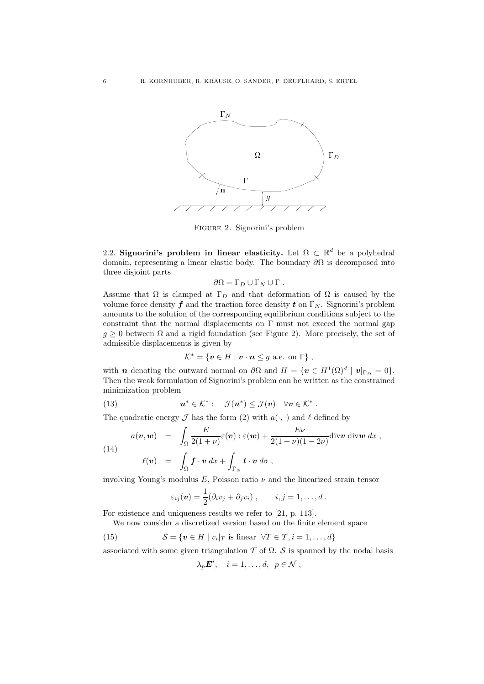

Figure 2. Signorini's problem

2.2. Signorini's problem in linear elasticity. Let  $\Omega \subset \mathbb{R}^d$  be a polyhedral domain, representing a linear elastic body. The boundary  $\partial\Omega$  is decomposed into three disjoint parts

$$
\partial\Omega = \Gamma_D \cup \Gamma_N \cup \Gamma.
$$

Assume that  $\Omega$  is clamped at  $\Gamma_D$  and that deformation of  $\Omega$  is caused by the volume force density f and the traction force density t on  $\Gamma_N$ . Signorini's problem amounts to the solution of the corresponding equilibrium conditions subject to the constraint that the normal displacements on  $\Gamma$  must not exceed the normal gap  $g \geq 0$  between  $\Omega$  and a rigid foundation (see Figure 2). More precisely, the set of admissible displacements is given by

$$
\mathcal{K}^* = \{ \mathbf{v} \in H \mid \mathbf{v} \cdot \mathbf{n} \leq g \text{ a.e. on } \Gamma \},
$$

with *n* denoting the outward normal on  $\partial\Omega$  and  $H = \{v \in H^1(\Omega)^d \mid v|_{\Gamma_D} = 0\}.$ Then the weak formulation of Signorini's problem can be written as the constrained minimization problem

.

(13) 
$$
\mathbf{u}^* \in \mathcal{K}^* : \quad \mathcal{J}(\mathbf{u}^*) \leq \mathcal{J}(\mathbf{v}) \quad \forall \mathbf{v} \in \mathcal{K}^*
$$

The quadratic energy  $\mathcal J$  has the form (2) with  $a(\cdot, \cdot)$  and  $\ell$  defined by

(14)  

$$
a(\mathbf{v}, \mathbf{w}) = \int_{\Omega} \frac{E}{2(1+\nu)} \varepsilon(\mathbf{v}) : \varepsilon(\mathbf{w}) + \frac{E\nu}{2(1+\nu)(1-2\nu)} \text{div}\mathbf{v} \text{ div}\mathbf{w} dx,
$$

$$
\ell(\mathbf{v}) = \int_{\Omega} \mathbf{f} \cdot \mathbf{v} dx + \int_{\Gamma_N} \mathbf{t} \cdot \mathbf{v} d\sigma,
$$

involving Young's modulus  $E$ , Poisson ratio  $\nu$  and the linearized strain tensor

$$
\varepsilon_{ij}(\boldsymbol{v})=\frac{1}{2}(\partial_i v_j+\partial_j v_i)\;,\qquad i,j=1,\ldots,d\;.
$$

For existence and uniqueness results we refer to [21, p. 113].

We now consider a discretized version based on the finite element space

(15) 
$$
\mathcal{S} = \{ \mathbf{v} \in H \mid v_i|_T \text{ is linear } \forall T \in \mathcal{T}, i = 1, ..., d \}
$$

associated with some given triangulation  $T$  of  $\Omega$ . S is spanned by the nodal basis

$$
\lambda_p \boldsymbol{E}^i, \quad i=1,\ldots,d, \ p \in \mathcal{N},
$$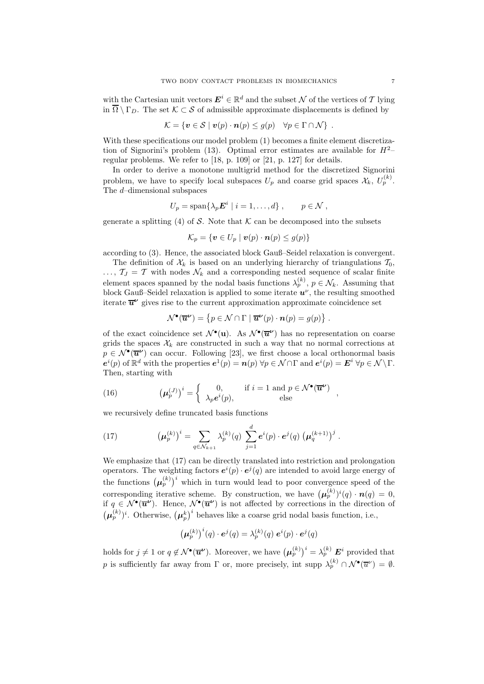with the Cartesian unit vectors  $\mathbf{E}^i \in \mathbb{R}^d$  and the subset  $\mathcal N$  of the vertices of  $\mathcal T$  lying in  $\overline{\Omega} \setminus \Gamma_D$ . The set  $\mathcal{K} \subset \mathcal{S}$  of admissible approximate displacements is defined by

$$
\mathcal{K} = \{ \boldsymbol{v} \in \mathcal{S} \mid \boldsymbol{v}(p) \cdot \boldsymbol{n}(p) \le g(p) \quad \forall p \in \Gamma \cap \mathcal{N} \}.
$$

With these specifications our model problem (1) becomes a finite element discretization of Signorini's problem (13). Optimal error estimates are available for  $H^2$ – regular problems. We refer to [18, p. 109] or [21, p. 127] for details.

In order to derive a monotone multigrid method for the discretized Signorini problem, we have to specify local subspaces  $U_p$  and coarse grid spaces  $\mathcal{X}_k$ ,  $U_p^{(k)}$ . The d–dimensional subspaces

$$
U_p = \text{span}\{\lambda_p \mathbf{E}^i \mid i = 1, \dots, d\} \;, \qquad p \in \mathcal{N} \;,
$$

generate a splitting (4) of S. Note that  $K$  can be decomposed into the subsets

$$
\mathcal{K}_p = \{ \boldsymbol{v} \in U_p \mid \boldsymbol{v}(p) \cdot \boldsymbol{n}(p) \le g(p) \}
$$

according to (3). Hence, the associated block Gauß–Seidel relaxation is convergent.

The definition of  $\mathcal{X}_k$  is based on an underlying hierarchy of triangulations  $\mathcal{T}_0$ ,  $\ldots, \mathcal{T}_J = \mathcal{T}$  with nodes  $\mathcal{N}_k$  and a corresponding nested sequence of scalar finite element spaces spanned by the nodal basis functions  $\lambda_p^{(k)}$ ,  $p \in \mathcal{N}_k$ . Assuming that block Gauß–Seidel relaxation is applied to some iterate  $u^{\nu}$ , the resulting smoothed iterate  $\overline{u}^{\nu}$  gives rise to the current approximation approximate coincidence set

$$
\mathcal{N}^{\bullet}(\overline{\mathbf{u}}^{\nu}) = \{ p \in \mathcal{N} \cap \Gamma \mid \overline{\mathbf{u}}^{\nu}(p) \cdot \mathbf{n}(p) = g(p) \} .
$$

of the exact coincidence set  $\mathcal{N}^{\bullet}(\mathbf{u})$ . As  $\mathcal{N}^{\bullet}(\overline{\mathbf{u}}^{\nu})$  has no representation on coarse grids the spaces  $\mathcal{X}_k$  are constructed in such a way that no normal corrections at  $p \in \mathcal{N}^{\bullet}(\overline{\mathbf{u}}^{\nu})$  can occur. Following [23], we first choose a local orthonormal basis  $e^{i}(p)$  of  $\mathbb{R}^{d}$  with the properties  $e^{1}(p) = n(p)$   $\forall p \in \mathcal{N} \cap \Gamma$  and  $e^{i}(p) = E^{i}$   $\forall p \in \mathcal{N} \setminus \Gamma$ . Then, starting with

(16) 
$$
\left(\boldsymbol{\mu}_p^{(J)}\right)^i = \begin{cases} 0, & \text{if } i = 1 \text{ and } p \in \mathcal{N}^\bullet(\overline{\boldsymbol{u}}^{\nu}) \\ \lambda_p \boldsymbol{e}^i(p), & \text{else} \end{cases}
$$

we recursively define truncated basis functions

(17) 
$$
\left(\mu_p^{(k)}\right)^i = \sum_{q \in \mathcal{N}_{k+1}} \lambda_p^{(k)}(q) \sum_{j=1}^d e^i(p) \cdot e^j(q) \left(\mu_q^{(k+1)}\right)^j.
$$

We emphasize that (17) can be directly translated into restriction and prolongation operators. The weighting factors  $e^{i}(p) \cdot e^{j}(q)$  are intended to avoid large energy of the functions  $(\mu_p^{(k)})^i$  which in turn would lead to poor convergence speed of the corresponding iterative scheme. By construction, we have  $(\mu_p^{(k)})^i(q) \cdot \mathbf{n}(q) = 0$ , if  $q \in \mathcal{N}^{\bullet}(\overline{u}^{\nu})$ . Hence,  $\mathcal{N}^{\bullet}(\overline{u}^{\nu})$  is not affected by corrections in the direction of  $(\mu_p^{(k)})^i$ . Otherwise,  $(\mu_p^k)^i$  behaves like a coarse grid nodal basis function, i.e.,

$$
\left(\boldsymbol{\mu}_p^{(k)}\right)^i(q) \cdot \boldsymbol{e}^j(q) = \lambda_p^{(k)}(q) \boldsymbol{e}^i(p) \cdot \boldsymbol{e}^j(q)
$$

holds for  $j \neq 1$  or  $q \notin \mathcal{N}^{\bullet}(\overline{\bm{u}}^{\nu})$ . Moreover, we have  $(\mu_p^{(k)})^i = \lambda_p^{(k)} E^i$  provided that p is sufficiently far away from  $\Gamma$  or, more precisely, int supp  $\lambda_p^{(k)} \cap \mathcal{N}^{\bullet}(\overline{u}^{\nu}) = \emptyset$ .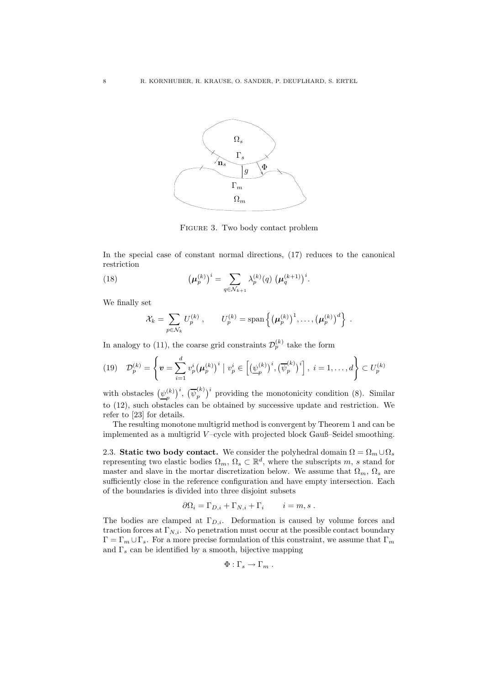

Figure 3. Two body contact problem

In the special case of constant normal directions, (17) reduces to the canonical restriction

(18) 
$$
\left(\mu_p^{(k)}\right)^i = \sum_{q \in \mathcal{N}_{k+1}} \lambda_p^{(k)}(q) \left(\mu_q^{(k+1)}\right)^i.
$$

We finally set

$$
\mathcal{X}_k = \sum_{p \in \mathcal{N}_k} U_p^{(k)} , \qquad U_p^{(k)} = \text{span} \left\{ \left( \boldsymbol{\mu}_p^{(k)} \right)^1, \ldots, \left( \boldsymbol{\mu}_p^{(k)} \right)^d \right\} .
$$

In analogy to (11), the coarse grid constraints  $\mathcal{D}_p^{(k)}$  take the form

$$
(19) \quad \mathcal{D}_p^{(k)} = \left\{ \boldsymbol{v} = \sum_{i=1}^d v_p^i \big( \boldsymbol{\mu}_p^{(k)} \big)^i \mid v_p^i \in \left[ \big( \underline{\psi}_p^{(k)} \big)^i, \big( \overline{\psi}_p^{(k)} \big)^i \right], \ i = 1, \dots, d \right\} \subset U_p^{(k)}
$$

with obstacles  $(\psi^{(k)}_n)$  $\overline{(\psi_p^{(k)})}^i, \; \big(\overline{\psi}_p^{(k)}\big)$  $\binom{k}{p}^i$  providing the monotonicity condition (8). Similar to (12), such obstacles can be obtained by successive update and restriction. We refer to [23] for details.

The resulting monotone multigrid method is convergent by Theorem 1 and can be implemented as a multigrid  $V$ -cycle with projected block Gauß–Seidel smoothing.

2.3. Static two body contact. We consider the polyhedral domain  $\Omega = \Omega_m \cup \Omega_s$ representing two elastic bodies  $\Omega_m$ ,  $\Omega_s \subset \mathbb{R}^d$ , where the subscripts m, s stand for master and slave in the mortar discretization below. We assume that  $\Omega_m$ ,  $\Omega_s$  are sufficiently close in the reference configuration and have empty intersection. Each of the boundaries is divided into three disjoint subsets

$$
\partial\Omega_i = \Gamma_{D,i} + \Gamma_{N,i} + \Gamma_i \qquad i = m, s .
$$

The bodies are clamped at  $\Gamma_{D,i}$ . Deformation is caused by volume forces and traction forces at  $\Gamma_{N,i}$ . No penetration must occur at the possible contact boundary  $\Gamma = \Gamma_m \cup \Gamma_s$ . For a more precise formulation of this constraint, we assume that  $\Gamma_m$ and  $\Gamma_s$  can be identified by a smooth, bijective mapping

$$
\Phi:\Gamma_s\to\Gamma_m.
$$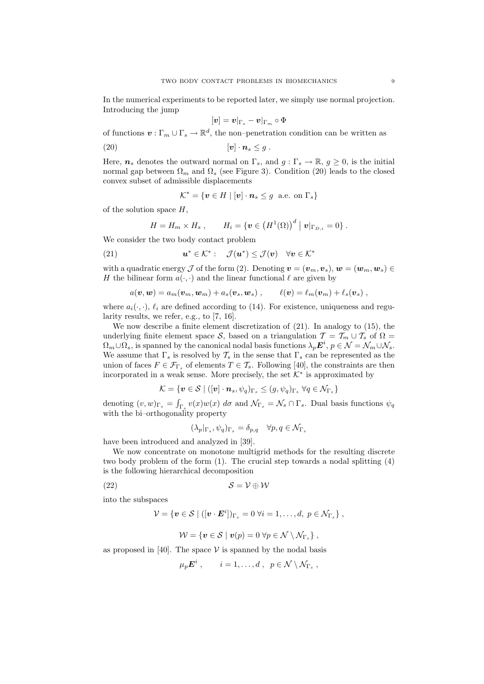In the numerical experiments to be reported later, we simply use normal projection. Introducing the jump

$$
[\bm{v}]=\bm{v}|_{\Gamma_s}-\bm{v}|_{\Gamma_m}\circ \Phi
$$

of functions  $\mathbf{v}: \Gamma_m \cup \Gamma_s \to \mathbb{R}^d$ , the non-penetration condition can be written as

$$
(20) \t\t\t [v] \cdot n_s \leq g.
$$

Here,  $n_s$  denotes the outward normal on  $\Gamma_s$ , and  $g: \Gamma_s \to \mathbb{R}, g \geq 0$ , is the initial normal gap between  $\Omega_m$  and  $\Omega_s$  (see Figure 3). Condition (20) leads to the closed convex subset of admissible displacements

$$
\mathcal{K}^* = \{ \boldsymbol{v} \in H \mid [\boldsymbol{v}] \cdot \boldsymbol{n}_s \leq g \text{ a.e. on } \Gamma_s \}
$$

of the solution space  $H$ ,

$$
H = H_m \times H_s , \qquad H_i = \{ \boldsymbol{v} \in (H^1(\Omega))^d \mid \boldsymbol{v}|_{\Gamma_{D,i}} = 0 \} .
$$

We consider the two body contact problem

(21) 
$$
\mathbf{u}^* \in \mathcal{K}^* : \quad \mathcal{J}(\mathbf{u}^*) \leq \mathcal{J}(\mathbf{v}) \quad \forall \mathbf{v} \in \mathcal{K}^*
$$

with a quadratic energy  $\mathcal J$  of the form (2). Denoting  $v = (v_m, v_s), w = (w_m, w_s) \in$ H the bilinear form  $a(\cdot, \cdot)$  and the linear functional  $\ell$  are given by

$$
a(\boldsymbol{v},\boldsymbol{w}) = a_m(\boldsymbol{v}_m,\boldsymbol{w}_m) + a_s(\boldsymbol{v}_s,\boldsymbol{w}_s) , \qquad \ell(\boldsymbol{v}) = \ell_m(\boldsymbol{v}_m) + \ell_s(\boldsymbol{v}_s) ,
$$

where  $a_i(\cdot, \cdot)$ ,  $\ell_i$  are defined according to (14). For existence, uniqueness and regularity results, we refer, e.g., to [7, 16].

We now describe a finite element discretization of (21). In analogy to (15), the underlying finite element space S, based on a triangulation  $\mathcal{T} = \mathcal{T}_m \cup \mathcal{T}_s$  of  $\Omega =$  $\Omega_m \cup \Omega_s$ , is spanned by the canonical nodal basis functions  $\lambda_p \mathbf{E}^i$ ,  $p \in \mathcal{N} = \mathcal{N}_m \cup \mathcal{N}_s$ . We assume that  $\Gamma_s$  is resolved by  $\mathcal{T}_s$  in the sense that  $\Gamma_s$  can be represented as the union of faces  $F \in \mathcal{F}_{\Gamma_s}$  of elements  $T \in \mathcal{T}_s$ . Following [40], the constraints are then incorporated in a weak sense. More precisely, the set  $K^*$  is approximated by

$$
\mathcal{K} = \{ \boldsymbol{v} \in \mathcal{S} \mid ([\boldsymbol{v}] \cdot \boldsymbol{n}_s, \psi_q)_{\Gamma_s} \leq (g, \psi_q)_{\Gamma_s} \; \forall q \in \mathcal{N}_{\Gamma_s} \}
$$

denoting  $(v, w)_{\Gamma_s} = \int_{\Gamma_s} v(x)w(x) d\sigma$  and  $\mathcal{N}_{\Gamma_s} = \mathcal{N}_s \cap \Gamma_s$ . Dual basis functions  $\psi_q$ with the bi–orthogonality property

$$
(\lambda_p|_{\Gamma_s}, \psi_q)_{\Gamma_s} = \delta_{p,q} \quad \forall p, q \in \mathcal{N}_{\Gamma_s}
$$

have been introduced and analyzed in [39].

We now concentrate on monotone multigrid methods for the resulting discrete two body problem of the form  $(1)$ . The crucial step towards a nodal splitting  $(4)$ is the following hierarchical decomposition

$$
(22) \t\t S = V \oplus W
$$

into the subspaces

$$
\mathcal{V} = \{ \boldsymbol{v} \in \mathcal{S} \mid ([\boldsymbol{v} \cdot \boldsymbol{E}^i])_{\Gamma_s} = 0 \ \forall i = 1, \ldots, d, \ p \in \mathcal{N}_{\Gamma_s} \},
$$

$$
\mathcal{W} = \{ \boldsymbol{v} \in \mathcal{S} \mid \boldsymbol{v}(p) = 0 \ \forall p \in \mathcal{N} \setminus \mathcal{N}_{\Gamma_s} \},
$$

as proposed in [40]. The space  $V$  is spanned by the nodal basis

$$
\mu_p \mathbf{E}^i
$$
,  $i = 1, ..., d$ ,  $p \in \mathcal{N} \setminus \mathcal{N}_{\Gamma_s}$ ,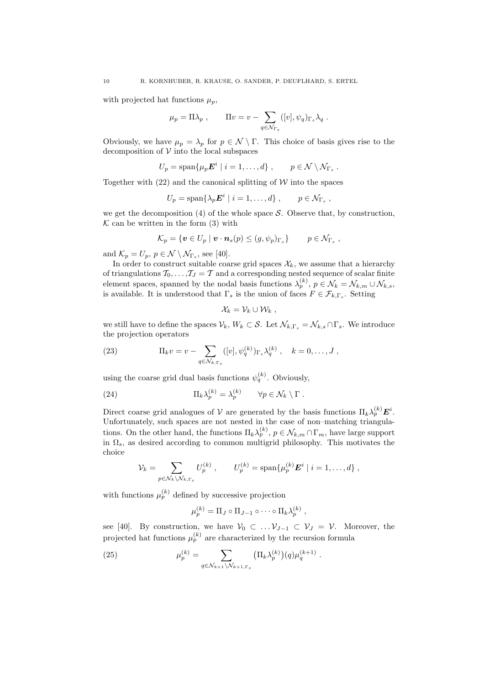with projected hat functions  $\mu_n$ ,

$$
\mu_p = \Pi \lambda_p , \qquad \Pi v = v - \sum_{q \in \mathcal{N}_{\Gamma_s}} ([v], \psi_q)_{\Gamma_s} \lambda_q .
$$

Obviously, we have  $\mu_p = \lambda_p$  for  $p \in \mathcal{N} \setminus \Gamma$ . This choice of basis gives rise to the decomposition of  $V$  into the local subspaces

$$
U_p = \mathrm{span}\{ \mu_p \mathbf{E}^i \mid i = 1, \dots, d \}, \qquad p \in \mathcal{N} \setminus \mathcal{N}_{\Gamma_s} \, .
$$

Together with  $(22)$  and the canonical splitting of W into the spaces

$$
U_p = \text{span}\{\lambda_p \mathbf{E}^i \mid i = 1, \dots, d\} \,, \qquad p \in \mathcal{N}_{\Gamma_s} \,,
$$

we get the decomposition (4) of the whole space  $S$ . Observe that, by construction,  $K$  can be written in the form (3) with

$$
\mathcal{K}_p = \{ \boldsymbol{v} \in U_p \mid \boldsymbol{v} \cdot \boldsymbol{n}_s(p) \le (g, \psi_p)_{\Gamma_s} \} \qquad p \in \mathcal{N}_{\Gamma_s} \ ,
$$

and  $\mathcal{K}_p = U_p$ ,  $p \in \mathcal{N} \setminus \mathcal{N}_{\Gamma_s}$ , see [40].

In order to construct suitable coarse grid spaces  $\mathcal{X}_k$ , we assume that a hierarchy of triangulations  $\mathcal{T}_0, \ldots, \mathcal{T}_J = \mathcal{T}$  and a corresponding nested sequence of scalar finite element spaces, spanned by the nodal basis functions  $\lambda_p^{(k)}$ ,  $p \in \mathcal{N}_k = \mathcal{N}_{k,m} \cup \mathcal{N}_{k,s}$ , is available. It is understood that  $\Gamma_s$  is the union of faces  $F \in \mathcal{F}_{k,\Gamma_s}$ . Setting

$$
\mathcal{X}_k=\mathcal{V}_k\cup\mathcal{W}_k\;,
$$

we still have to define the spaces  $\mathcal{V}_k$ ,  $W_k \subset \mathcal{S}$ . Let  $\mathcal{N}_{k,\Gamma_s} = \mathcal{N}_{k,s} \cap \Gamma_s$ . We introduce the projection operators

(23) 
$$
\Pi_k v = v - \sum_{q \in \mathcal{N}_{k,\Gamma_s}} ([v], \psi_q^{(k)})_{\Gamma_s} \lambda_q^{(k)}, \quad k = 0, ..., J,
$$

using the coarse grid dual basis functions  $\psi_q^{(k)}$ . Obviously,

(24) 
$$
\Pi_k \lambda_p^{(k)} = \lambda_p^{(k)} \qquad \forall p \in \mathcal{N}_k \setminus \Gamma.
$$

Direct coarse grid analogues of  $V$  are generated by the basis functions  $\Pi_k \lambda_p^{(k)} \mathbf{E}^i$ . Unfortunately, such spaces are not nested in the case of non–matching triangulations. On the other hand, the functions  $\Pi_k\lambda_p^{(k)}$ ,  $p \in \mathcal{N}_{k,m} \cap \Gamma_m$ , have large support in  $\Omega_s$ , as desired according to common multigrid philosophy. This motivates the choice

$$
\mathcal{V}_k = \sum_{p \in \mathcal{N}_k \setminus \mathcal{N}_{k,\Gamma_s}} U_p^{(k)}, \qquad U_p^{(k)} = \text{span}\{\mu_p^{(k)}\boldsymbol{E}^i \mid i = 1,\ldots,d\},
$$

with functions  $\mu_p^{(k)}$  defined by successive projection

$$
\mu_p^{(k)} = \Pi_J \circ \Pi_{J-1} \circ \cdots \circ \Pi_k \lambda_p^{(k)},
$$

see [40]. By construction, we have  $\mathcal{V}_0 \subset \ldots \mathcal{V}_{J-1} \subset \mathcal{V}_J = \mathcal{V}$ . Moreover, the projected hat functions  $\mu_p^{(k)}$  are characterized by the recursion formula

(25) 
$$
\mu_p^{(k)} = \sum_{q \in \mathcal{N}_{k+1} \backslash \mathcal{N}_{k+1, \Gamma_s}} \left( \Pi_k \lambda_p^{(k)} \right) (q) \mu_q^{(k+1)}.
$$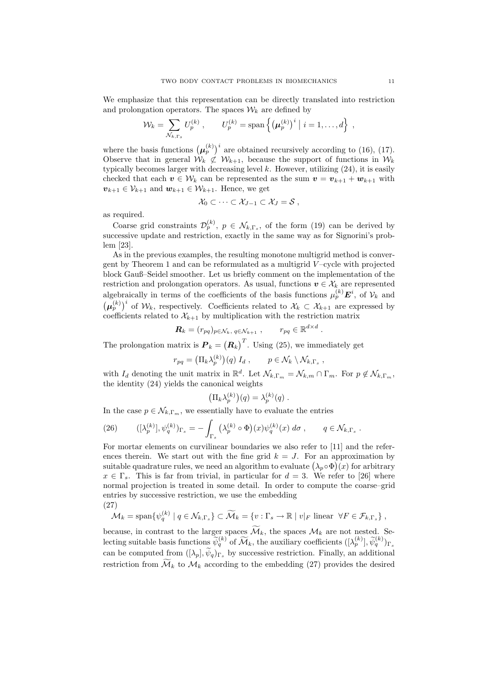We emphasize that this representation can be directly translated into restriction and prolongation operators. The spaces  $\mathcal{W}_k$  are defined by

$$
\mathcal{W}_k = \sum_{\mathcal{N}_{k,\Gamma_s}} U_p^{(k)}, \qquad U_p^{(k)} = \text{span}\left\{ \left(\boldsymbol{\mu}_p^{(k)}\right)^i \middle| i = 1,\ldots,d \right\} ,
$$

where the basis functions  $(\mu_p^{(k)})^i$  are obtained recursively according to (16), (17). Observe that in general  $W_k \not\subset W_{k+1}$ , because the support of functions in  $W_k$ typically becomes larger with decreasing level  $k$ . However, utilizing  $(24)$ , it is easily checked that each  $v \in \mathcal{W}_k$  can be represented as the sum  $v = v_{k+1} + w_{k+1}$  with  $v_{k+1} \in \mathcal{V}_{k+1}$  and  $w_{k+1} \in \mathcal{W}_{k+1}$ . Hence, we get

$$
\mathcal{X}_0\subset\cdots\subset\mathcal{X}_{J-1}\subset\mathcal{X}_J=\mathcal{S}\ ,
$$

as required.

Coarse grid constraints  $\mathcal{D}_p^{(k)}$ ,  $p \in \mathcal{N}_{k,\Gamma_s}$ , of the form (19) can be derived by successive update and restriction, exactly in the same way as for Signorini's problem [23].

As in the previous examples, the resulting monotone multigrid method is convergent by Theorem 1 and can be reformulated as a multigrid  $V$ -cycle with projected block Gauß–Seidel smoother. Let us briefly comment on the implementation of the restriction and prolongation operators. As usual, functions  $v \in \mathcal{X}_k$  are represented algebraically in terms of the coefficients of the basis functions  $\mu_p^{(k)} \mathbf{E}^i$ , of  $\mathcal{V}_k$  and  $(\mu_p^{(k)})^i$  of  $\mathcal{W}_k$ , respectively. Coefficients related to  $\mathcal{X}_k \subset \mathcal{X}_{k+1}$  are expressed by coefficients related to  $\mathcal{X}_{k+1}$  by multiplication with the restriction matrix

$$
\mathbf{R}_k = (r_{pq})_{p \in \mathcal{N}_k, q \in \mathcal{N}_{k+1}}, \qquad r_{pq} \in \mathbb{R}^{d \times d}.
$$

The prolongation matrix is  $P_k = (R_k)^T$ . Using (25), we immediately get

$$
r_{pq} = (\Pi_k \lambda_p^{(k)})(q) I_d , \qquad p \in \mathcal{N}_k \setminus \mathcal{N}_{k, \Gamma_s} ,
$$

with  $I_d$  denoting the unit matrix in  $\mathbb{R}^d$ . Let  $\mathcal{N}_{k,\Gamma_m} = \mathcal{N}_{k,m} \cap \Gamma_m$ . For  $p \notin \mathcal{N}_{k,\Gamma_m}$ , the identity (24) yields the canonical weights

$$
\left(\Pi_k \lambda_p^{(k)}\right)(q) = \lambda_p^{(k)}(q) .
$$

In the case  $p \in \mathcal{N}_{k,\Gamma_m}$ , we essentially have to evaluate the entries

(26) 
$$
([\lambda_p^{(k)}], \psi_q^{(k)})_{\Gamma_s} = -\int_{\Gamma_s} (\lambda_p^{(k)} \circ \Phi)(x) \psi_q^{(k)}(x) d\sigma , \qquad q \in \mathcal{N}_{k,\Gamma_s}.
$$

For mortar elements on curvilinear boundaries we also refer to [11] and the references therein. We start out with the fine grid  $k = J$ . For an approximation by suitable quadrature rules, we need an algorithm to evaluate  $(\lambda_p \circ \Phi)(x)$  for arbitrary  $x \in \Gamma_s$ . This is far from trivial, in particular for  $d = 3$ . We refer to [26] where normal projection is treated in some detail. In order to compute the coarse–grid entries by successive restriction, we use the embedding (27)

$$
\mathcal{M}_k = \text{span}\{\psi_q^{(k)} \mid q \in \mathcal{N}_{k,\Gamma_s}\} \subset \widetilde{\mathcal{M}}_k = \{v : \Gamma_s \to \mathbb{R} \mid v|_F \text{ linear } \forall F \in \mathcal{F}_{k,\Gamma_s}\},
$$

because, in contrast to the larger spaces  $\widetilde{\mathcal{M}}_k$ , the spaces  $\mathcal{M}_k$  are not nested. Selecting suitable basis functions  $\widetilde{\psi}_q^{(k)}$  of  $\widetilde{\mathcal{M}}_k$ , the auxiliary coefficients  $([\lambda_p^{(k)}], \widetilde{\psi}_q^{(k)})_{\Gamma_s}$ can be computed from  $([\lambda_p], \widetilde{\psi}_q)_{\Gamma_s}$  by successive restriction. Finally, an additional restriction from  $\widetilde{\mathcal{M}}_k$  to  $\mathcal{M}_k$  according to the embedding (27) provides the desired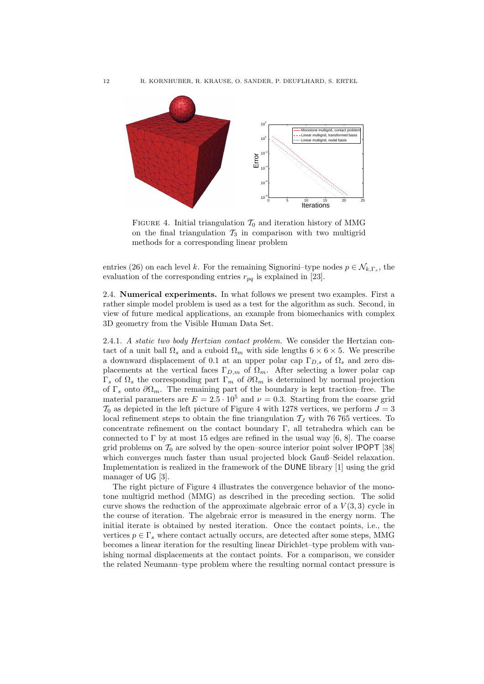

FIGURE 4. Initial triangulation  $T_0$  and iteration history of MMG on the final triangulation  $\mathcal{T}_3$  in comparison with two multigrid methods for a corresponding linear problem

entries (26) on each level k. For the remaining Signorini–type nodes  $p \in \mathcal{N}_{k,\Gamma_s}$ , the evaluation of the corresponding entries  $r_{pq}$  is explained in [23].

2.4. Numerical experiments. In what follows we present two examples. First a rather simple model problem is used as a test for the algorithm as such. Second, in view of future medical applications, an example from biomechanics with complex 3D geometry from the Visible Human Data Set.

2.4.1. A static two body Hertzian contact problem. We consider the Hertzian contact of a unit ball  $\Omega_s$  and a cuboid  $\Omega_m$  with side lengths  $6 \times 6 \times 5$ . We prescribe a downward displacement of 0.1 at an upper polar cap  $\Gamma_{D,s}$  of  $\Omega_s$  and zero displacements at the vertical faces  $\Gamma_{D,m}$  of  $\Omega_m$ . After selecting a lower polar cap Γ<sub>s</sub> of  $\Omega$ <sub>s</sub> the corresponding part Γ<sub>m</sub> of  $\partial\Omega$ <sub>m</sub> is determined by normal projection of  $\Gamma_s$  onto  $\partial\Omega_m$ . The remaining part of the boundary is kept traction–free. The material parameters are  $E = 2.5 \cdot 10^5$  and  $\nu = 0.3$ . Starting from the coarse grid  $\mathcal{T}_0$  as depicted in the left picture of Figure 4 with 1278 vertices, we perform  $J = 3$ local refinement steps to obtain the fine triangulation  $\mathcal{T}_J$  with 76 765 vertices. To concentrate refinement on the contact boundary Γ, all tetrahedra which can be connected to  $\Gamma$  by at most 15 edges are refined in the usual way [6, 8]. The coarse grid problems on  $\mathcal{T}_0$  are solved by the open–source interior point solver IPOPT [38] which converges much faster than usual projected block Gauß–Seidel relaxation. Implementation is realized in the framework of the DUNE library [1] using the grid manager of UG [3].

The right picture of Figure 4 illustrates the convergence behavior of the monotone multigrid method (MMG) as described in the preceding section. The solid curve shows the reduction of the approximate algebraic error of a  $V(3,3)$  cycle in the course of iteration. The algebraic error is measured in the energy norm. The initial iterate is obtained by nested iteration. Once the contact points, i.e., the vertices  $p \in \Gamma_s$  where contact actually occurs, are detected after some steps, MMG becomes a linear iteration for the resulting linear Dirichlet–type problem with vanishing normal displacements at the contact points. For a comparison, we consider the related Neumann–type problem where the resulting normal contact pressure is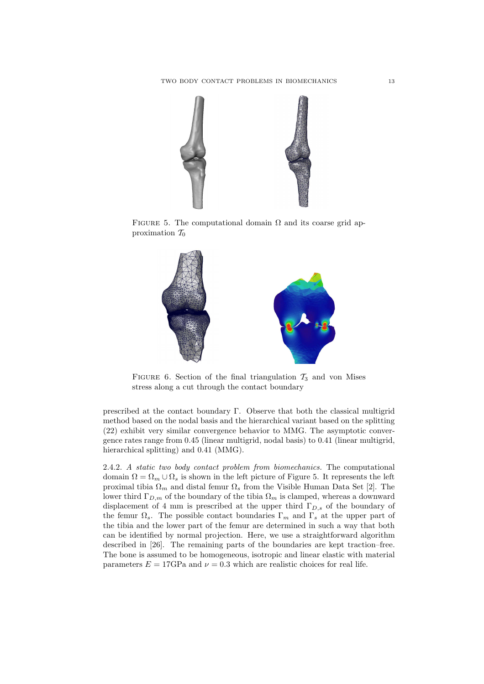

FIGURE 5. The computational domain  $\Omega$  and its coarse grid approximation  $\mathcal{T}_0$ 



FIGURE 6. Section of the final triangulation  $\mathcal{T}_3$  and von Mises stress along a cut through the contact boundary

prescribed at the contact boundary Γ. Observe that both the classical multigrid method based on the nodal basis and the hierarchical variant based on the splitting (22) exhibit very similar convergence behavior to MMG. The asymptotic convergence rates range from 0.45 (linear multigrid, nodal basis) to 0.41 (linear multigrid, hierarchical splitting) and 0.41 (MMG).

2.4.2. A static two body contact problem from biomechanics. The computational domain  $\Omega = \Omega_m \cup \Omega_s$  is shown in the left picture of Figure 5. It represents the left proximal tibia  $\Omega_m$  and distal femur  $\Omega_s$  from the Visible Human Data Set [2]. The lower third  $\Gamma_{D,m}$  of the boundary of the tibia  $\Omega_m$  is clamped, whereas a downward displacement of 4 mm is prescribed at the upper third  $\Gamma_{D,s}$  of the boundary of the femur  $\Omega_s$ . The possible contact boundaries  $\Gamma_m$  and  $\Gamma_s$  at the upper part of the tibia and the lower part of the femur are determined in such a way that both can be identified by normal projection. Here, we use a straightforward algorithm described in [26]. The remaining parts of the boundaries are kept traction–free. The bone is assumed to be homogeneous, isotropic and linear elastic with material parameters  $E = 17$ GPa and  $\nu = 0.3$  which are realistic choices for real life.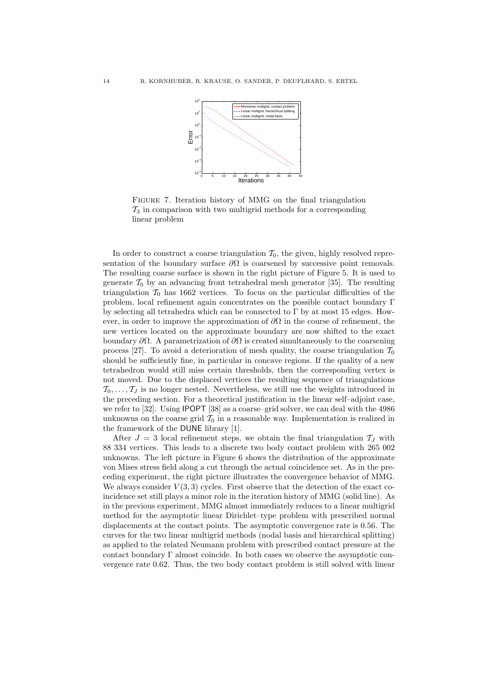

Figure 7. Iteration history of MMG on the final triangulation  $\mathcal{T}_3$  in comparison with two multigrid methods for a corresponding linear problem

In order to construct a coarse triangulation  $\mathcal{T}_0$ , the given, highly resolved representation of the boundary surface  $\partial\Omega$  is coarsened by successive point removals. The resulting coarse surface is shown in the right picture of Figure 5. It is used to generate  $\mathcal{T}_0$  by an advancing front tetrahedral mesh generator [35]. The resulting triangulation  $\mathcal{T}_0$  has 1662 vertices. To focus on the particular difficulties of the problem, local refinement again concentrates on the possible contact boundary Γ by selecting all tetrahedra which can be connected to  $\Gamma$  by at most 15 edges. However, in order to improve the approximation of  $\partial\Omega$  in the course of refinement, the new vertices located on the approximate boundary are now shifted to the exact boundary  $\partial\Omega$ . A parametrization of  $\partial\Omega$  is created simultaneously to the coarsening process [27]. To avoid a deterioration of mesh quality, the coarse triangulation  $\mathcal{T}_0$ should be sufficiently fine, in particular in concave regions. If the quality of a new tetrahedron would still miss certain thresholds, then the corresponding vertex is not moved. Due to the displaced vertices the resulting sequence of triangulations  $\mathcal{T}_0, \ldots, \mathcal{T}_J$  is no longer nested. Nevertheless, we still use the weights introduced in the preceding section. For a theoretical justification in the linear self–adjoint case, we refer to [32]. Using IPOPT [38] as a coarse–grid solver, we can deal with the 4986 unknowns on the coarse grid  $\mathcal{T}_0$  in a reasonable way. Implementation is realized in the framework of the DUNE library [1].

After  $J = 3$  local refinement steps, we obtain the final triangulation  $T_J$  with 88 334 vertices. This leads to a discrete two body contact problem with 265 002 unknowns. The left picture in Figure 6 shows the distribution of the approximate von Mises stress field along a cut through the actual coincidence set. As in the preceding experiment, the right picture illustrates the convergence behavior of MMG. We always consider  $V(3,3)$  cycles. First observe that the detection of the exact coincidence set still plays a minor role in the iteration history of MMG (solid line). As in the previous experiment, MMG almost immediately reduces to a linear multigrid method for the asymptotic linear Dirichlet–type problem with prescribed normal displacements at the contact points. The asymptotic convergence rate is 0.56. The curves for the two linear multigrid methods (nodal basis and hierarchical splitting) as applied to the related Neumann problem with prescribed contact pressure at the contact boundary Γ almost coincide. In both cases we observe the asymptotic convergence rate 0.62. Thus, the two body contact problem is still solved with linear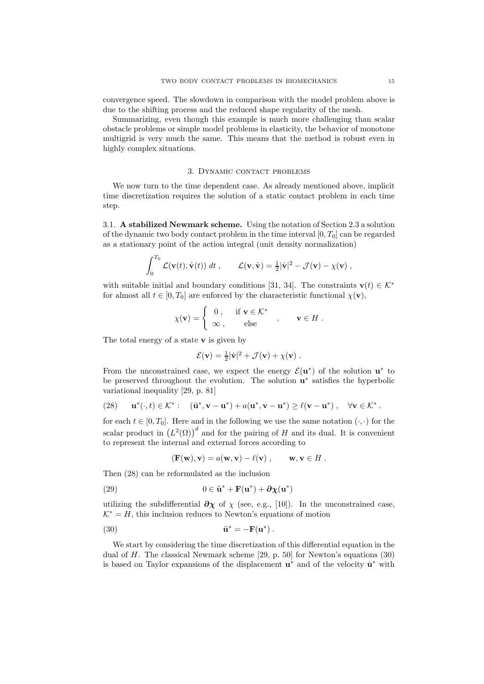convergence speed. The slowdown in comparison with the model problem above is due to the shifting process and the reduced shape regularity of the mesh.

Summarizing, even though this example is much more challenging than scalar obstacle problems or simple model problems in elasticity, the behavior of monotone multigrid is very much the same. This means that the method is robust even in highly complex situations.

#### 3. Dynamic contact problems

We now turn to the time dependent case. As already mentioned above, implicit time discretization requires the solution of a static contact problem in each time step.

3.1. A stabilized Newmark scheme. Using the notation of Section 2.3 a solution of the dynamic two body contact problem in the time interval  $[0, T_0]$  can be regarded as a stationary point of the action integral (unit density normalization)

$$
\int_0^{T_0} \mathcal{L}(\mathbf{v}(t), \dot{\mathbf{v}}(t)) dt , \qquad \mathcal{L}(\mathbf{v}, \dot{\mathbf{v}}) = \frac{1}{2} |\dot{\mathbf{v}}|^2 - \mathcal{J}(\mathbf{v}) - \chi(\mathbf{v}) ,
$$

with suitable initial and boundary conditions [31, 34]. The constraints  $\mathbf{v}(t) \in \mathcal{K}^*$ for almost all  $t \in [0, T_0]$  are enforced by the characteristic functional  $\chi(\mathbf{v})$ ,

$$
\chi(\mathbf{v}) = \begin{cases} 0, & \text{if } \mathbf{v} \in \mathcal{K}^* \\ \infty, & \text{else} \end{cases}, \quad \mathbf{v} \in H \,.
$$

The total energy of a state  $\bf{v}$  is given by

$$
\mathcal{E}(\mathbf{v}) = \frac{1}{2}|\dot{\mathbf{v}}|^2 + \mathcal{J}(\mathbf{v}) + \chi(\mathbf{v}) \; .
$$

From the unconstrained case, we expect the energy  $\mathcal{E}(\mathbf{u}^*)$  of the solution  $\mathbf{u}^*$  to be preserved throughout the evolution. The solution  $\mathbf{u}^*$  satisfies the hyperbolic variational inequality [29, p. 81]

(28) 
$$
\mathbf{u}^*(\cdot,t) \in \mathcal{K}^* : (\ddot{\mathbf{u}}^*, \mathbf{v} - \mathbf{u}^*) + a(\mathbf{u}^*, \mathbf{v} - \mathbf{u}^*) \ge \ell(\mathbf{v} - \mathbf{u}^*) , \quad \forall \mathbf{v} \in \mathcal{K}^* .
$$

for each  $t \in [0, T_0]$ . Here and in the following we use the same notation  $(\cdot, \cdot)$  for the scalar product in  $(L^2(\Omega))^d$  and for the pairing of H and its dual. It is convenient to represent the internal and external forces according to

$$
(\mathbf{F}(\mathbf{w}), \mathbf{v}) = a(\mathbf{w}, \mathbf{v}) - \ell(\mathbf{v}), \qquad \mathbf{w}, \mathbf{v} \in H.
$$

Then (28) can be reformulated as the inclusion

(29) 
$$
0 \in \ddot{\mathbf{u}}^* + \mathbf{F}(\mathbf{u}^*) + \partial \chi(\mathbf{u}^*)
$$

utilizing the subdifferential  $\partial \chi$  of  $\chi$  (see, e.g., [10]). In the unconstrained case,  $K^* = H$ , this inclusion reduces to Newton's equations of motion

(30) 
$$
\ddot{\mathbf{u}}^* = -\mathbf{F}(\mathbf{u}^*).
$$

We start by considering the time discretization of this differential equation in the dual of  $H$ . The classical Newmark scheme [29, p. 50] for Newton's equations (30) is based on Taylor expansions of the displacement  $\mathbf{u}^*$  and of the velocity  $\dot{\mathbf{u}}^*$  with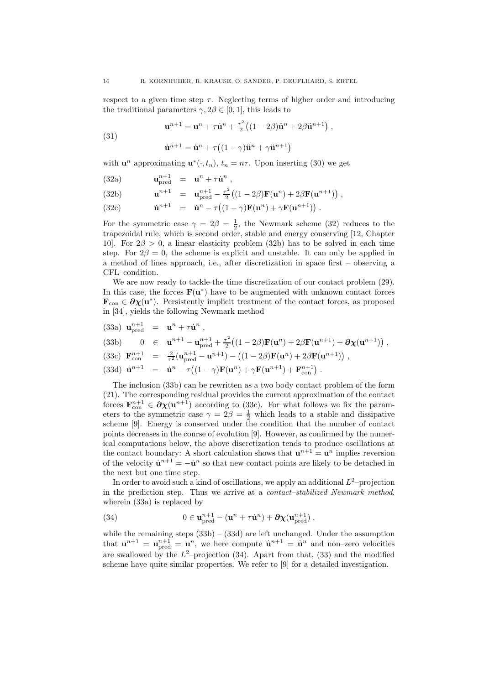respect to a given time step  $\tau$ . Neglecting terms of higher order and introducing the traditional parameters  $\gamma$ ,  $2\beta \in [0, 1]$ , this leads to

(31) 
$$
\mathbf{u}^{n+1} = \mathbf{u}^n + \tau \dot{\mathbf{u}}^n + \frac{\tau^2}{2} \big( (1 - 2\beta) \ddot{\mathbf{u}}^n + 2\beta \ddot{\mathbf{u}}^{n+1} \big) ,
$$

$$
\dot{\mathbf{u}}^{n+1} = \dot{\mathbf{u}}^n + \tau \big( (1-\gamma) \ddot{\mathbf{u}}^n + \gamma \ddot{\mathbf{u}}^{n+1} \big)
$$

with  $\mathbf{u}^n$  approximating  $\mathbf{u}^*(\cdot,t_n)$ ,  $t_n = n\tau$ . Upon inserting (30) we get

(32a) 
$$
\mathbf{u}_{\text{pred}}^{n+1} = \mathbf{u}^n + \tau \dot{\mathbf{u}}^n,
$$

(32b) 
$$
\mathbf{u}^{n+1} = \mathbf{u}_{\text{pred}}^{n+1} - \frac{\tau^2}{2} ((1 - 2\beta) \mathbf{F}(\mathbf{u}^n) + 2\beta \mathbf{F}(\mathbf{u}^{n+1})) ,
$$

(32c) 
$$
\dot{\mathbf{u}}^{n+1} = \dot{\mathbf{u}}^n - \tau ((1 - \gamma) \mathbf{F}(\mathbf{u}^n) + \gamma \mathbf{F}(\mathbf{u}^{n+1}))
$$

For the symmetric case  $\gamma = 2\beta = \frac{1}{2}$ , the Newmark scheme (32) reduces to the trapezoidal rule, which is second order, stable and energy conserving [12, Chapter 10. For  $2\beta > 0$ , a linear elasticity problem (32b) has to be solved in each time step. For  $2\beta = 0$ , the scheme is explicit and unstable. It can only be applied in a method of lines approach, i.e., after discretization in space first – observing a CFL–condition.

We are now ready to tackle the time discretization of our contact problem (29). In this case, the forces  $F(u^*)$  have to be augmented with unknown contact forces  $\mathbf{F}_{\text{con}} \in \partial \chi(\mathbf{u}^*)$ . Persistently implicit treatment of the contact forces, as proposed in [34], yields the following Newmark method

(33a) 
$$
\mathbf{u}_{\text{pred}}^{n+1} = \mathbf{u}^n + \tau \dot{\mathbf{u}}^n
$$
,

(33b) 
$$
0 \in \mathbf{u}^{n+1} - \mathbf{u}_{\text{pred}}^{n+1} + \frac{\tau^2}{2} \big( (1 - 2\beta) \mathbf{F}(\mathbf{u}^n) + 2\beta \mathbf{F}(\mathbf{u}^{n+1}) + \partial \chi(\mathbf{u}^{n+1}) \big) ,
$$

(33c)  $\mathbf{F}_{\text{con}}^{n+1} = \frac{2}{\tau^2} (\mathbf{u}_{\text{pred}}^{n+1} - \mathbf{u}^{n+1}) - ((1 - 2\beta)\mathbf{F}(\mathbf{u}^n) + 2\beta \mathbf{F}(\mathbf{u}^{n+1}))$ ,

(33d)  $\dot{\mathbf{u}}^{n+1} = \dot{\mathbf{u}}^n - \tau ((1 - \gamma) \mathbf{F}(\mathbf{u}^n) + \gamma \mathbf{F}(\mathbf{u}^{n+1}) + \mathbf{F}_{con}^{n+1}).$ 

The inclusion (33b) can be rewritten as a two body contact problem of the form (21). The corresponding residual provides the current approximation of the contact forces  $\mathbf{F}_{\text{con}}^{n+1} \in \partial \chi(\mathbf{u}^{n+1})$  according to (33c). For what follows we fix the parameters to the symmetric case  $\gamma = 2\beta = \frac{1}{2}$  which leads to a stable and dissipative scheme [9]. Energy is conserved under the condition that the number of contact points decreases in the course of evolution [9]. However, as confirmed by the numerical computations below, the above discretization tends to produce oscillations at the contact boundary: A short calculation shows that  $\mathbf{u}^{n+1} = \mathbf{u}^n$  implies reversion of the velocity  $\dot{\mathbf{u}}^{n+1} = -\dot{\mathbf{u}}^n$  so that new contact points are likely to be detached in the next but one time step.

In order to avoid such a kind of oscillations, we apply an additional  $L^2$ -projection in the prediction step. Thus we arrive at a *contact–stabilized Newmark method*, wherein (33a) is replaced by

(34) 
$$
0 \in \mathbf{u}_{\text{pred}}^{n+1} - (\mathbf{u}^n + \tau \dot{\mathbf{u}}^n) + \partial \chi(\mathbf{u}_{\text{pred}}^{n+1}),
$$

while the remaining steps  $(33b) - (33d)$  are left unchanged. Under the assumption that  $\mathbf{u}^{n+1} = \mathbf{u}_{\text{pred}}^{n+1} = \mathbf{u}^n$ , we here compute  $\dot{\mathbf{u}}^{n+1} = \dot{\mathbf{u}}^n$  and non-zero velocities are swallowed by the  $L^2$ -projection (34). Apart from that, (33) and the modified scheme have quite similar properties. We refer to [9] for a detailed investigation.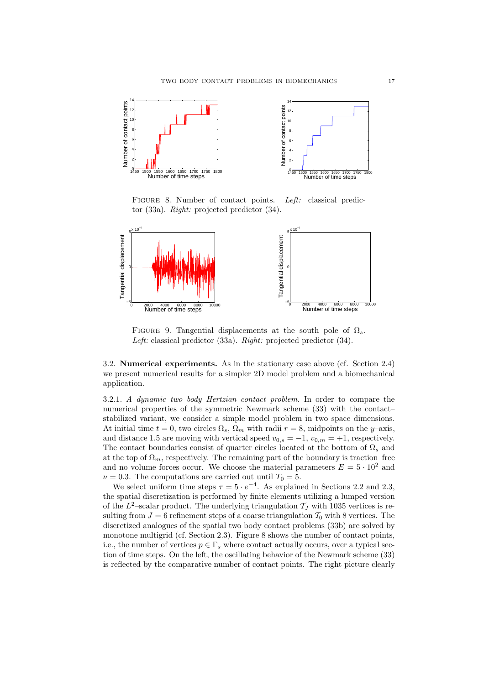

FIGURE 8. Number of contact points. Left: classical predictor (33a). Right: projected predictor (34).



FIGURE 9. Tangential displacements at the south pole of  $\Omega_s$ . Left: classical predictor (33a). Right: projected predictor (34).

3.2. Numerical experiments. As in the stationary case above (cf. Section 2.4) we present numerical results for a simpler 2D model problem and a biomechanical application.

3.2.1. A dynamic two body Hertzian contact problem. In order to compare the numerical properties of the symmetric Newmark scheme (33) with the contact– stabilized variant, we consider a simple model problem in two space dimensions. At initial time  $t = 0$ , two circles  $\Omega_s$ ,  $\Omega_m$  with radii  $r = 8$ , midpoints on the y-axis, and distance 1.5 are moving with vertical speed  $v_{0,s} = -1$ ,  $v_{0,m} = +1$ , respectively. The contact boundaries consist of quarter circles located at the bottom of  $\Omega_s$  and at the top of  $\Omega_m$ , respectively. The remaining part of the boundary is traction–free and no volume forces occur. We choose the material parameters  $E = 5 \cdot 10^2$  and  $\nu = 0.3$ . The computations are carried out until  $T_0 = 5$ .

We select uniform time steps  $\tau = 5 \cdot e^{-4}$ . As explained in Sections 2.2 and 2.3, the spatial discretization is performed by finite elements utilizing a lumped version of the  $L^2$ -scalar product. The underlying triangulation  $\mathcal{T}_J$  with 1035 vertices is resulting from  $J = 6$  refinement steps of a coarse triangulation  $\mathcal{T}_0$  with 8 vertices. The discretized analogues of the spatial two body contact problems (33b) are solved by monotone multigrid (cf. Section 2.3). Figure 8 shows the number of contact points, i.e., the number of vertices  $p \in \Gamma_s$  where contact actually occurs, over a typical section of time steps. On the left, the oscillating behavior of the Newmark scheme (33) is reflected by the comparative number of contact points. The right picture clearly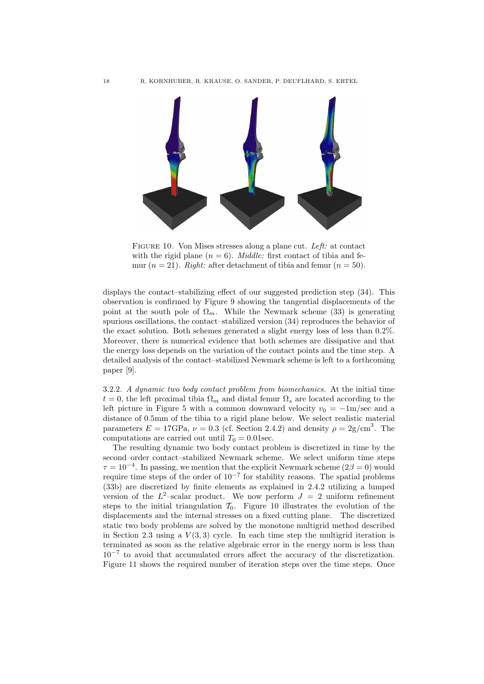

Figure 10. Von Mises stresses along a plane cut. Left: at contact with the rigid plane  $(n = 6)$ . *Middle:* first contact of tibia and femur ( $n = 21$ ). Right: after detachment of tibia and femur ( $n = 50$ ).

displays the contact–stabilizing effect of our suggested prediction step (34). This observation is confirmed by Figure 9 showing the tangential displacements of the point at the south pole of  $\Omega_m$ . While the Newmark scheme (33) is generating spurious oscillations, the contact–stabilized version (34) reproduces the behavior of the exact solution. Both schemes generated a slight energy loss of less than 0.2%. Moreover, there is numerical evidence that both schemes are dissipative and that the energy loss depends on the variation of the contact points and the time step. A detailed analysis of the contact–stabilized Newmark scheme is left to a forthcoming paper [9].

3.2.2. A dynamic two body contact problem from biomechanics. At the initial time  $t = 0$ , the left proximal tibia  $\Omega_m$  and distal femur  $\Omega_s$  are located according to the left picture in Figure 5 with a common downward velocity  $v_0 = -1$ m/sec and a distance of 0.5mm of the tibia to a rigid plane below. We select realistic material parameters  $E = 17$ GPa,  $\nu = 0.3$  (cf. Section 2.4.2) and density  $\rho = 2$ g/cm<sup>3</sup>. The computations are carried out until  $T_0 = 0.01$  sec.

The resulting dynamic two body contact problem is discretized in time by the second–order contact–stabilized Newmark scheme. We select uniform time steps  $\tau = 10^{-4}$ . In passing, we mention that the explicit Newmark scheme (2 $\beta = 0$ ) would require time steps of the order of  $10^{-7}$  for stability reasons. The spatial problems (33b) are discretized by finite elements as explained in 2.4.2 utilizing a lumped version of the  $L^2$ -scalar product. We now perform  $J = 2$  uniform refinement steps to the initial triangulation  $\mathcal{T}_0$ . Figure 10 illustrates the evolution of the displacements and the internal stresses on a fixed cutting plane. The discretized static two body problems are solved by the monotone multigrid method described in Section 2.3 using a  $V(3,3)$  cycle. In each time step the multigrid iteration is terminated as soon as the relative algebraic error in the energy norm is less than 10−<sup>7</sup> to avoid that accumulated errors affect the accuracy of the discretization. Figure 11 shows the required number of iteration steps over the time steps. Once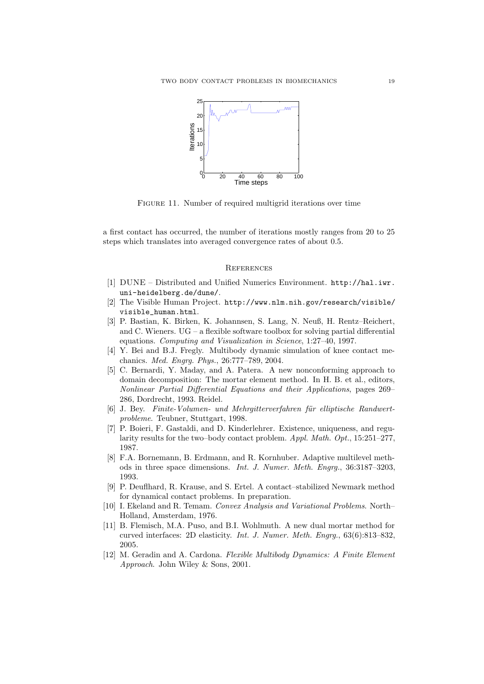

FIGURE 11. Number of required multigrid iterations over time

a first contact has occurred, the number of iterations mostly ranges from 20 to 25 steps which translates into averaged convergence rates of about 0.5.

#### **REFERENCES**

- [1] DUNE Distributed and Unified Numerics Environment. http://hal.iwr. uni-heidelberg.de/dune/.
- [2] The Visible Human Project. http://www.nlm.nih.gov/research/visible/ visible\_human.html.
- [3] P. Bastian, K. Birken, K. Johannsen, S. Lang, N. Neuß, H. Rentz–Reichert, and C. Wieners. UG – a flexible software toolbox for solving partial differential equations. Computing and Visualization in Science, 1:27–40, 1997.
- [4] Y. Bei and B.J. Fregly. Multibody dynamic simulation of knee contact mechanics. Med. Engrg. Phys., 26:777–789, 2004.
- [5] C. Bernardi, Y. Maday, and A. Patera. A new nonconforming approach to domain decomposition: The mortar element method. In H. B. et al., editors, Nonlinear Partial Differential Equations and their Applications, pages 269– 286, Dordrecht, 1993. Reidel.
- [6] J. Bey. Finite-Volumen- und Mehrgitterverfahren für elliptische Randwertprobleme. Teubner, Stuttgart, 1998.
- [7] P. Boieri, F. Gastaldi, and D. Kinderlehrer. Existence, uniqueness, and regularity results for the two–body contact problem. Appl. Math. Opt., 15:251–277, 1987.
- [8] F.A. Bornemann, B. Erdmann, and R. Kornhuber. Adaptive multilevel methods in three space dimensions. Int. J. Numer. Meth. Engrg., 36:3187–3203, 1993.
- [9] P. Deuflhard, R. Krause, and S. Ertel. A contact–stabilized Newmark method for dynamical contact problems. In preparation.
- [10] I. Ekeland and R. Temam. Convex Analysis and Variational Problems. North– Holland, Amsterdam, 1976.
- [11] B. Flemisch, M.A. Puso, and B.I. Wohlmuth. A new dual mortar method for curved interfaces: 2D elasticity. Int. J. Numer. Meth. Engrg., 63(6):813–832, 2005.
- [12] M. Geradin and A. Cardona. Flexible Multibody Dynamics: A Finite Element Approach. John Wiley & Sons, 2001.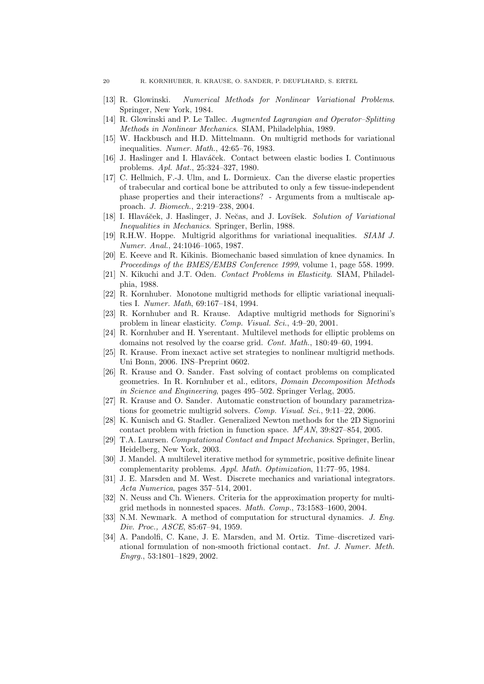- [13] R. Glowinski. Numerical Methods for Nonlinear Variational Problems. Springer, New York, 1984.
- [14] R. Glowinski and P. Le Tallec. Augmented Lagrangian and Operator–Splitting Methods in Nonlinear Mechanics. SIAM, Philadelphia, 1989.
- [15] W. Hackbusch and H.D. Mittelmann. On multigrid methods for variational inequalities. Numer. Math., 42:65–76, 1983.
- [16] J. Haslinger and I. Hlaváček. Contact between elastic bodies I. Continuous problems. Apl. Mat., 25:324–327, 1980.
- [17] C. Hellmich, F.-J. Ulm, and L. Dormieux. Can the diverse elastic properties of trabecular and cortical bone be attributed to only a few tissue-independent phase properties and their interactions? - Arguments from a multiscale approach. J. Biomech., 2:219–238, 2004.
- [18] I. Hlaváček, J. Haslinger, J. Nečas, and J. Lovíšek. Solution of Variational Inequalities in Mechanics. Springer, Berlin, 1988.
- [19] R.H.W. Hoppe. Multigrid algorithms for variational inequalities. SIAM J. Numer. Anal., 24:1046–1065, 1987.
- [20] E. Keeve and R. Kikinis. Biomechanic based simulation of knee dynamics. In Proceedings of the BMES/EMBS Conference 1999, volume 1, page 558. 1999.
- [21] N. Kikuchi and J.T. Oden. Contact Problems in Elasticity. SIAM, Philadelphia, 1988.
- [22] R. Kornhuber. Monotone multigrid methods for elliptic variational inequalities I. Numer. Math, 69:167–184, 1994.
- [23] R. Kornhuber and R. Krause. Adaptive multigrid methods for Signorini's problem in linear elasticity. Comp. Visual. Sci., 4:9–20, 2001.
- [24] R. Kornhuber and H. Yserentant. Multilevel methods for elliptic problems on domains not resolved by the coarse grid. Cont. Math., 180:49-60, 1994.
- [25] R. Krause. From inexact active set strategies to nonlinear multigrid methods. Uni Bonn, 2006. INS–Preprint 0602.
- [26] R. Krause and O. Sander. Fast solving of contact problems on complicated geometries. In R. Kornhuber et al., editors, Domain Decomposition Methods in Science and Engineering, pages 495–502. Springer Verlag, 2005.
- [27] R. Krause and O. Sander. Automatic construction of boundary parametrizations for geometric multigrid solvers. Comp. Visual. Sci., 9:11–22, 2006.
- [28] K. Kunisch and G. Stadler. Generalized Newton methods for the 2D Signorini contact problem with friction in function space.  $M^2AN$ , 39:827–854, 2005.
- [29] T.A. Laursen. Computational Contact and Impact Mechanics. Springer, Berlin, Heidelberg, New York, 2003.
- [30] J. Mandel. A multilevel iterative method for symmetric, positive definite linear complementarity problems. Appl. Math. Optimization, 11:77–95, 1984.
- [31] J. E. Marsden and M. West. Discrete mechanics and variational integrators. Acta Numerica, pages 357–514, 2001.
- [32] N. Neuss and Ch. Wieners. Criteria for the approximation property for multigrid methods in nonnested spaces. Math. Comp., 73:1583–1600, 2004.
- [33] N.M. Newmark. A method of computation for structural dynamics. J. Eng. Div. Proc., ASCE, 85:67–94, 1959.
- [34] A. Pandolfi, C. Kane, J. E. Marsden, and M. Ortiz. Time–discretized variational formulation of non-smooth frictional contact. Int. J. Numer. Meth. Engrg., 53:1801–1829, 2002.